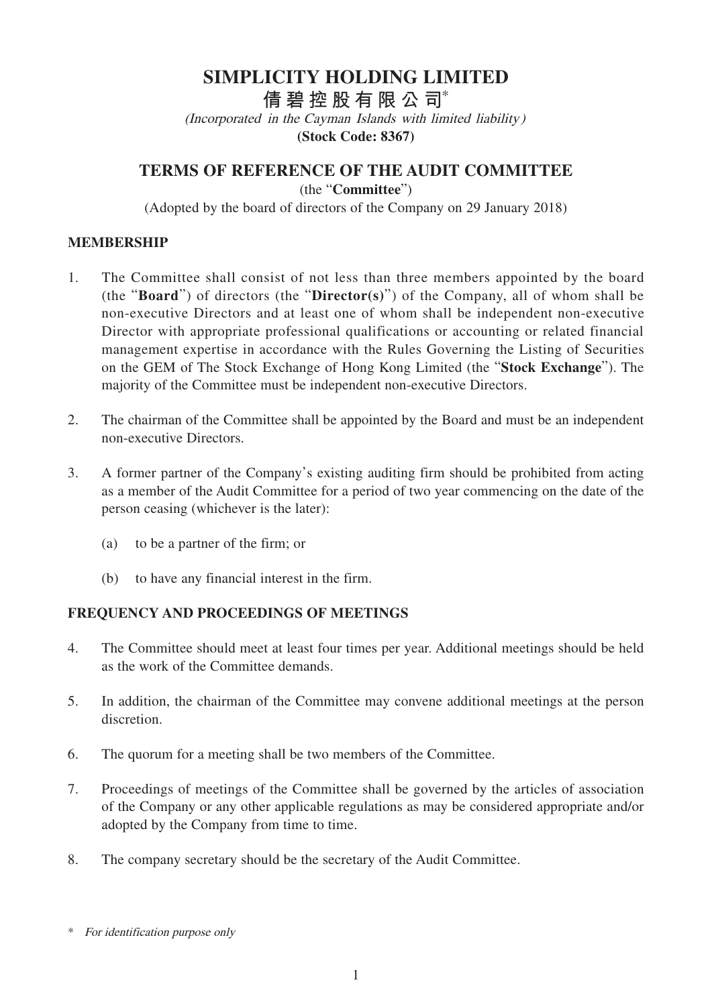# **SIMPLICITY HOLDING LIMITED**

**倩碧控股有限公 司**\*

(Incorporated in the Cayman Islands with limited liability)

**(Stock Code: 8367)**

**TERMS OF REFERENCE OF THE AUDIT COMMITTEE**

(the "**Committee**")

(Adopted by the board of directors of the Company on 29 January 2018)

#### **MEMBERSHIP**

- 1. The Committee shall consist of not less than three members appointed by the board (the "**Board**") of directors (the "**Director(s)**") of the Company, all of whom shall be non-executive Directors and at least one of whom shall be independent non-executive Director with appropriate professional qualifications or accounting or related financial management expertise in accordance with the Rules Governing the Listing of Securities on the GEM of The Stock Exchange of Hong Kong Limited (the "**Stock Exchange**"). The majority of the Committee must be independent non-executive Directors.
- 2. The chairman of the Committee shall be appointed by the Board and must be an independent non-executive Directors.
- 3. A former partner of the Company's existing auditing firm should be prohibited from acting as a member of the Audit Committee for a period of two year commencing on the date of the person ceasing (whichever is the later):
	- (a) to be a partner of the firm; or
	- (b) to have any financial interest in the firm.

#### **FREQUENCY AND PROCEEDINGS OF MEETINGS**

- 4. The Committee should meet at least four times per year. Additional meetings should be held as the work of the Committee demands.
- 5. In addition, the chairman of the Committee may convene additional meetings at the person discretion.
- 6. The quorum for a meeting shall be two members of the Committee.
- 7. Proceedings of meetings of the Committee shall be governed by the articles of association of the Company or any other applicable regulations as may be considered appropriate and/or adopted by the Company from time to time.
- 8. The company secretary should be the secretary of the Audit Committee.

<sup>\*</sup> For identification purpose only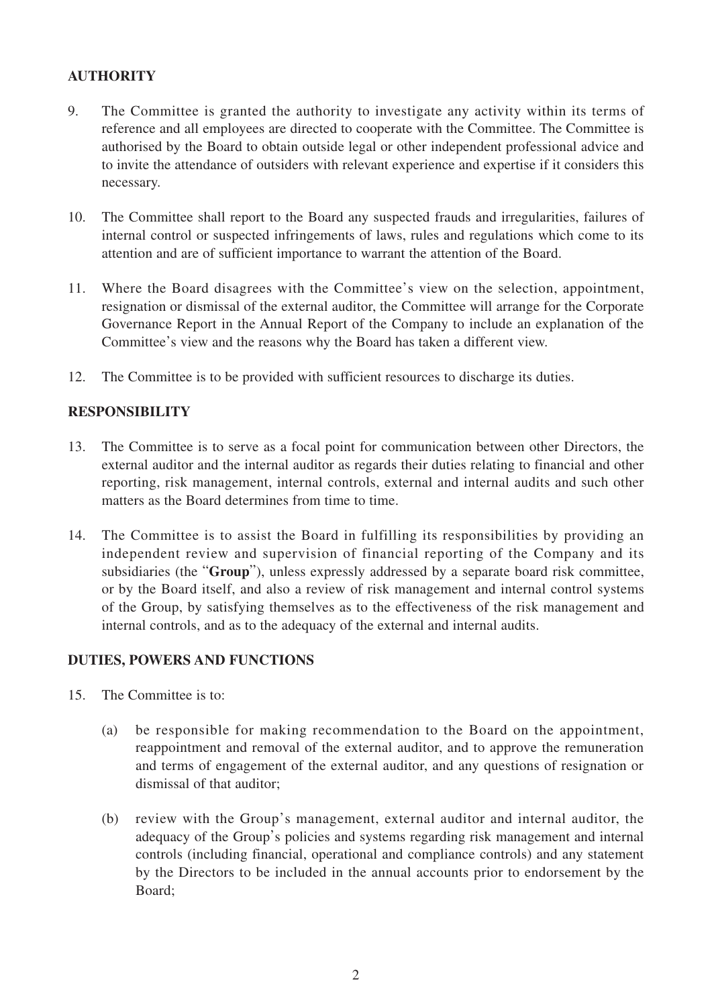## **AUTHORITY**

- 9. The Committee is granted the authority to investigate any activity within its terms of reference and all employees are directed to cooperate with the Committee. The Committee is authorised by the Board to obtain outside legal or other independent professional advice and to invite the attendance of outsiders with relevant experience and expertise if it considers this necessary.
- 10. The Committee shall report to the Board any suspected frauds and irregularities, failures of internal control or suspected infringements of laws, rules and regulations which come to its attention and are of sufficient importance to warrant the attention of the Board.
- 11. Where the Board disagrees with the Committee's view on the selection, appointment, resignation or dismissal of the external auditor, the Committee will arrange for the Corporate Governance Report in the Annual Report of the Company to include an explanation of the Committee's view and the reasons why the Board has taken a different view.
- 12. The Committee is to be provided with sufficient resources to discharge its duties.

## **RESPONSIBILITY**

- 13. The Committee is to serve as a focal point for communication between other Directors, the external auditor and the internal auditor as regards their duties relating to financial and other reporting, risk management, internal controls, external and internal audits and such other matters as the Board determines from time to time.
- 14. The Committee is to assist the Board in fulfilling its responsibilities by providing an independent review and supervision of financial reporting of the Company and its subsidiaries (the "**Group**"), unless expressly addressed by a separate board risk committee, or by the Board itself, and also a review of risk management and internal control systems of the Group, by satisfying themselves as to the effectiveness of the risk management and internal controls, and as to the adequacy of the external and internal audits.

#### **DUTIES, POWERS AND FUNCTIONS**

- 15. The Committee is to:
	- (a) be responsible for making recommendation to the Board on the appointment, reappointment and removal of the external auditor, and to approve the remuneration and terms of engagement of the external auditor, and any questions of resignation or dismissal of that auditor;
	- (b) review with the Group's management, external auditor and internal auditor, the adequacy of the Group's policies and systems regarding risk management and internal controls (including financial, operational and compliance controls) and any statement by the Directors to be included in the annual accounts prior to endorsement by the Board;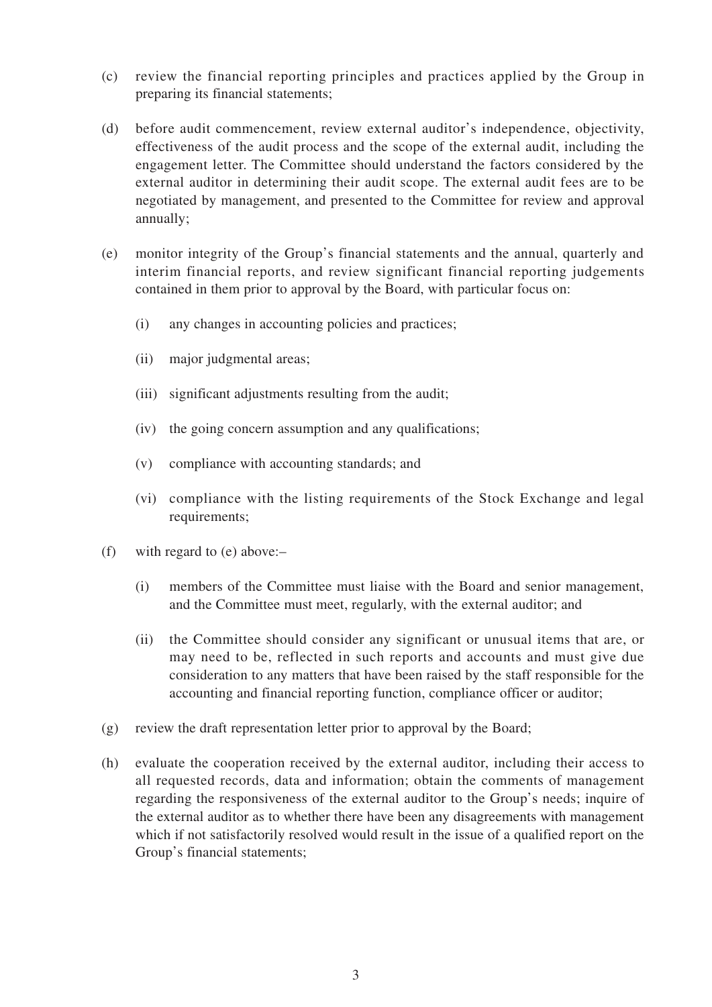- (c) review the financial reporting principles and practices applied by the Group in preparing its financial statements;
- (d) before audit commencement, review external auditor's independence, objectivity, effectiveness of the audit process and the scope of the external audit, including the engagement letter. The Committee should understand the factors considered by the external auditor in determining their audit scope. The external audit fees are to be negotiated by management, and presented to the Committee for review and approval annually;
- (e) monitor integrity of the Group's financial statements and the annual, quarterly and interim financial reports, and review significant financial reporting judgements contained in them prior to approval by the Board, with particular focus on:
	- (i) any changes in accounting policies and practices;
	- (ii) major judgmental areas;
	- (iii) significant adjustments resulting from the audit;
	- (iv) the going concern assumption and any qualifications;
	- (v) compliance with accounting standards; and
	- (vi) compliance with the listing requirements of the Stock Exchange and legal requirements;
- (f) with regard to (e) above:–
	- (i) members of the Committee must liaise with the Board and senior management, and the Committee must meet, regularly, with the external auditor; and
	- (ii) the Committee should consider any significant or unusual items that are, or may need to be, reflected in such reports and accounts and must give due consideration to any matters that have been raised by the staff responsible for the accounting and financial reporting function, compliance officer or auditor;
- (g) review the draft representation letter prior to approval by the Board;
- (h) evaluate the cooperation received by the external auditor, including their access to all requested records, data and information; obtain the comments of management regarding the responsiveness of the external auditor to the Group's needs; inquire of the external auditor as to whether there have been any disagreements with management which if not satisfactorily resolved would result in the issue of a qualified report on the Group's financial statements;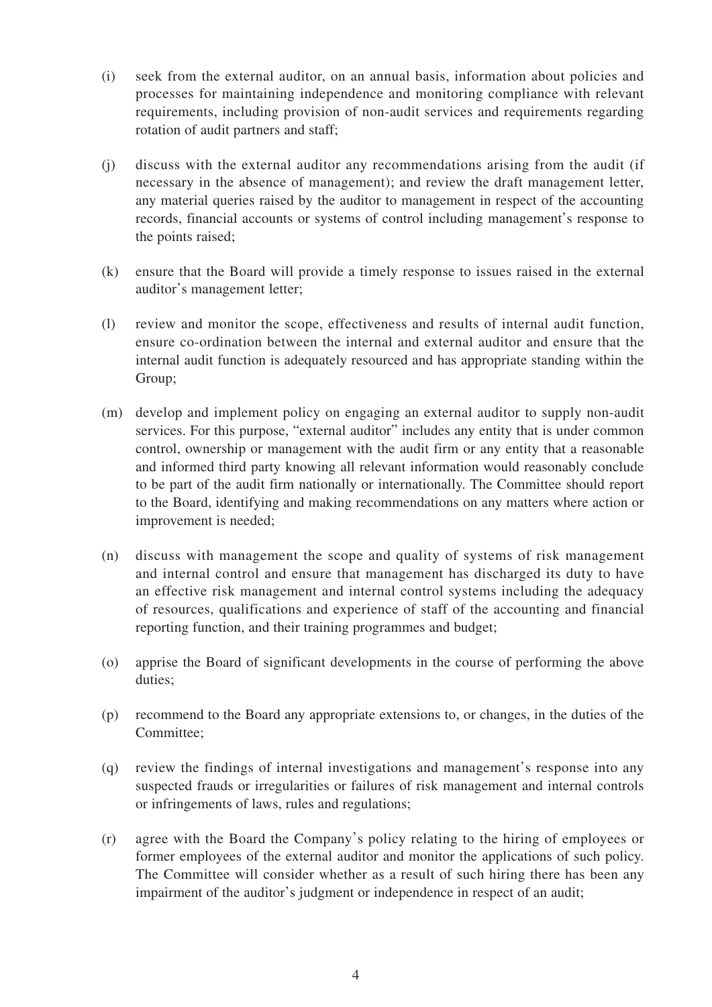- (i) seek from the external auditor, on an annual basis, information about policies and processes for maintaining independence and monitoring compliance with relevant requirements, including provision of non-audit services and requirements regarding rotation of audit partners and staff;
- (j) discuss with the external auditor any recommendations arising from the audit (if necessary in the absence of management); and review the draft management letter, any material queries raised by the auditor to management in respect of the accounting records, financial accounts or systems of control including management's response to the points raised;
- (k) ensure that the Board will provide a timely response to issues raised in the external auditor's management letter;
- (l) review and monitor the scope, effectiveness and results of internal audit function, ensure co-ordination between the internal and external auditor and ensure that the internal audit function is adequately resourced and has appropriate standing within the Group;
- (m) develop and implement policy on engaging an external auditor to supply non-audit services. For this purpose, "external auditor" includes any entity that is under common control, ownership or management with the audit firm or any entity that a reasonable and informed third party knowing all relevant information would reasonably conclude to be part of the audit firm nationally or internationally. The Committee should report to the Board, identifying and making recommendations on any matters where action or improvement is needed;
- (n) discuss with management the scope and quality of systems of risk management and internal control and ensure that management has discharged its duty to have an effective risk management and internal control systems including the adequacy of resources, qualifications and experience of staff of the accounting and financial reporting function, and their training programmes and budget;
- (o) apprise the Board of significant developments in the course of performing the above duties;
- (p) recommend to the Board any appropriate extensions to, or changes, in the duties of the Committee;
- (q) review the findings of internal investigations and management's response into any suspected frauds or irregularities or failures of risk management and internal controls or infringements of laws, rules and regulations;
- (r) agree with the Board the Company's policy relating to the hiring of employees or former employees of the external auditor and monitor the applications of such policy. The Committee will consider whether as a result of such hiring there has been any impairment of the auditor's judgment or independence in respect of an audit;